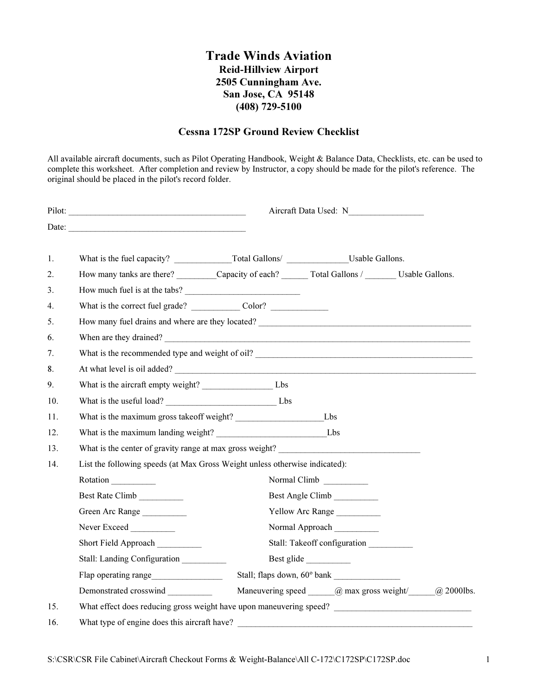## Trade Winds Aviation Reid-Hillview Airport 2505 Cunningham Ave. San Jose, CA 95148 (408) 729-5100

## Cessna 172SP Ground Review Checklist

All available aircraft documents, such as Pilot Operating Handbook, Weight & Balance Data, Checklists, etc. can be used to complete this worksheet. After completion and review by Instructor, a copy should be made for the pilot's reference. The original should be placed in the pilot's record folder.

|     |                                                                                                                                                                                                                                        | Aircraft Data Used: N        |              |                                                              |  |
|-----|----------------------------------------------------------------------------------------------------------------------------------------------------------------------------------------------------------------------------------------|------------------------------|--------------|--------------------------------------------------------------|--|
|     |                                                                                                                                                                                                                                        |                              |              |                                                              |  |
| 1.  |                                                                                                                                                                                                                                        |                              |              |                                                              |  |
| 2.  | How many tanks are there? Capacity of each? Total Gallons / Usable Gallons.                                                                                                                                                            |                              |              |                                                              |  |
| 3.  |                                                                                                                                                                                                                                        |                              |              |                                                              |  |
| 4.  |                                                                                                                                                                                                                                        |                              |              |                                                              |  |
| 5.  | How many fuel drains and where are they located?<br><u>Letter and the contract of the contract of the contract of the contract of the contract of the contract of the contract of the contract of the contract of the contract of </u> |                              |              |                                                              |  |
| 6.  | When are they drained?                                                                                                                                                                                                                 |                              |              |                                                              |  |
| 7.  |                                                                                                                                                                                                                                        |                              |              |                                                              |  |
| 8.  | At what level is oil added?                                                                                                                                                                                                            |                              |              |                                                              |  |
| 9.  |                                                                                                                                                                                                                                        |                              |              |                                                              |  |
| 10. |                                                                                                                                                                                                                                        |                              |              |                                                              |  |
| 11. |                                                                                                                                                                                                                                        |                              |              |                                                              |  |
| 12. |                                                                                                                                                                                                                                        |                              |              |                                                              |  |
| 13. | What is the center of gravity range at max gross weight?                                                                                                                                                                               |                              |              |                                                              |  |
| 14. | List the following speeds (at Max Gross Weight unless otherwise indicated):                                                                                                                                                            |                              |              |                                                              |  |
|     | Rotation                                                                                                                                                                                                                               |                              | Normal Climb |                                                              |  |
|     | Best Rate Climb                                                                                                                                                                                                                        | Best Angle Climb             |              |                                                              |  |
|     | Green Arc Range                                                                                                                                                                                                                        | Yellow Arc Range             |              |                                                              |  |
|     | Never Exceed                                                                                                                                                                                                                           | Normal Approach              |              |                                                              |  |
|     | Short Field Approach                                                                                                                                                                                                                   | Stall: Takeoff configuration |              |                                                              |  |
|     | Stall: Landing Configuration                                                                                                                                                                                                           | Best glide                   |              |                                                              |  |
|     | Flap operating range                                                                                                                                                                                                                   |                              |              |                                                              |  |
|     | Demonstrated crosswind __________                                                                                                                                                                                                      |                              |              | Maneuvering speed $\_\_@$ max gross weight/ $\_\_@$ 2000lbs. |  |
| 15. | What effect does reducing gross weight have upon maneuvering speed?                                                                                                                                                                    |                              |              |                                                              |  |
| 16. | What type of engine does this aircraft have?                                                                                                                                                                                           |                              |              |                                                              |  |